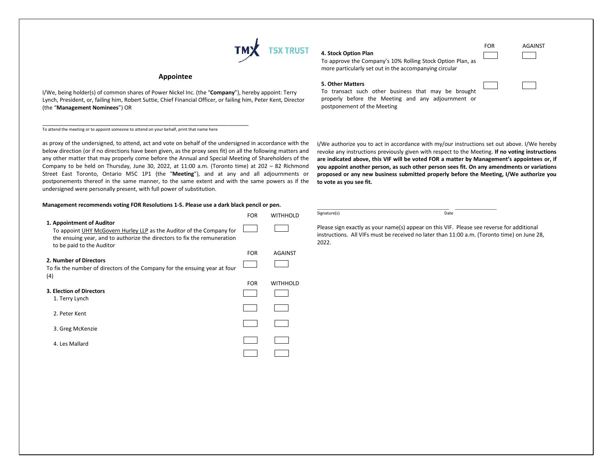

### Appointee

I/We, being holder(s) of common shares of Power Nickel Inc. (the "Company"), hereby appoint: Terry Lynch, President, or, failing him, Robert Suttie, Chief Financial Officer, or failing him, Peter Kent, Director (the "Management Nominees") OR

To attend the meeting or to appoint someone to attend on your behalf, print that name here

\_\_\_\_\_\_\_\_\_\_\_\_\_\_\_\_\_\_\_\_\_\_\_\_\_\_\_\_\_\_\_\_\_\_\_\_\_\_\_\_\_\_\_\_\_\_\_\_\_\_\_\_\_\_\_\_\_\_\_\_\_\_\_\_\_\_\_

as proxy of the undersigned, to attend, act and vote on behalf of the undersigned in accordance with the below direction (or if no directions have been given, as the proxy sees fit) on all the following matters and any other matter that may properly come before the Annual and Special Meeting of Shareholders of the Company to be held on Thursday, June 30, 2022, at 11:00 a.m. (Toronto time) at 202 – 82 Richmond Street East Toronto, Ontario M5C 1P1 (the "Meeting"), and at any and all adjournments or postponements thereof in the same manner, to the same extent and with the same powers as if the undersigned were personally present, with full power of substitution.

#### Management recommends voting FOR Resolutions 1-5. Please use a dark black pencil or pen.

|                                                                                                                                                                                                            | <b>FOR</b> | <b>WITHHOLD</b> |
|------------------------------------------------------------------------------------------------------------------------------------------------------------------------------------------------------------|------------|-----------------|
| 1. Appointment of Auditor<br>To appoint UHY McGovern Hurley LLP as the Auditor of the Company for<br>the ensuing year, and to authorize the directors to fix the remuneration<br>to be paid to the Auditor |            |                 |
|                                                                                                                                                                                                            | <b>FOR</b> | <b>AGAINST</b>  |
| 2. Number of Directors<br>To fix the number of directors of the Company for the ensuing year at four<br>(4)                                                                                                |            |                 |
|                                                                                                                                                                                                            | <b>FOR</b> | <b>WITHHOLD</b> |
| 3. Election of Directors<br>1. Terry Lynch                                                                                                                                                                 |            |                 |
| 2. Peter Kent                                                                                                                                                                                              |            |                 |
| 3. Greg McKenzie                                                                                                                                                                                           |            |                 |
| 4. Les Mallard                                                                                                                                                                                             |            |                 |
|                                                                                                                                                                                                            |            |                 |

4. Stock Option Plan

| <b>FOR</b> | AGAINST |  |
|------------|---------|--|
|            |         |  |

To approve the Company's 10% Rolling Stock Option Plan, as more particularly set out in the accompanying circular

### 5. Other Matters

To transact such other business that may be brought properly before the Meeting and any adjournment or postponement of the Meeting

I/We authorize you to act in accordance with my/our instructions set out above. I/We hereby revoke any instructions previously given with respect to the Meeting. If no voting instructions are indicated above, this VIF will be voted FOR a matter by Management's appointees or, if you appoint another person, as such other person sees fit. On any amendments or variations proposed or any new business submitted properly before the Meeting, I/We authorize you to vote as you see fit.

Signature(s) Date

Please sign exactly as your name(s) appear on this VIF. Please see reverse for additional instructions. All VIFs must be received no later than 11:00 a.m. (Toronto time) on June 28, 2022.

\_\_\_\_\_\_\_\_\_\_\_\_\_\_\_\_\_\_\_\_\_\_\_\_\_\_\_\_\_\_\_\_\_\_\_\_\_\_\_\_\_\_\_\_\_\_\_\_\_\_\_\_\_\_\_\_\_ \_\_\_\_\_\_\_\_\_\_\_\_\_\_\_\_\_\_